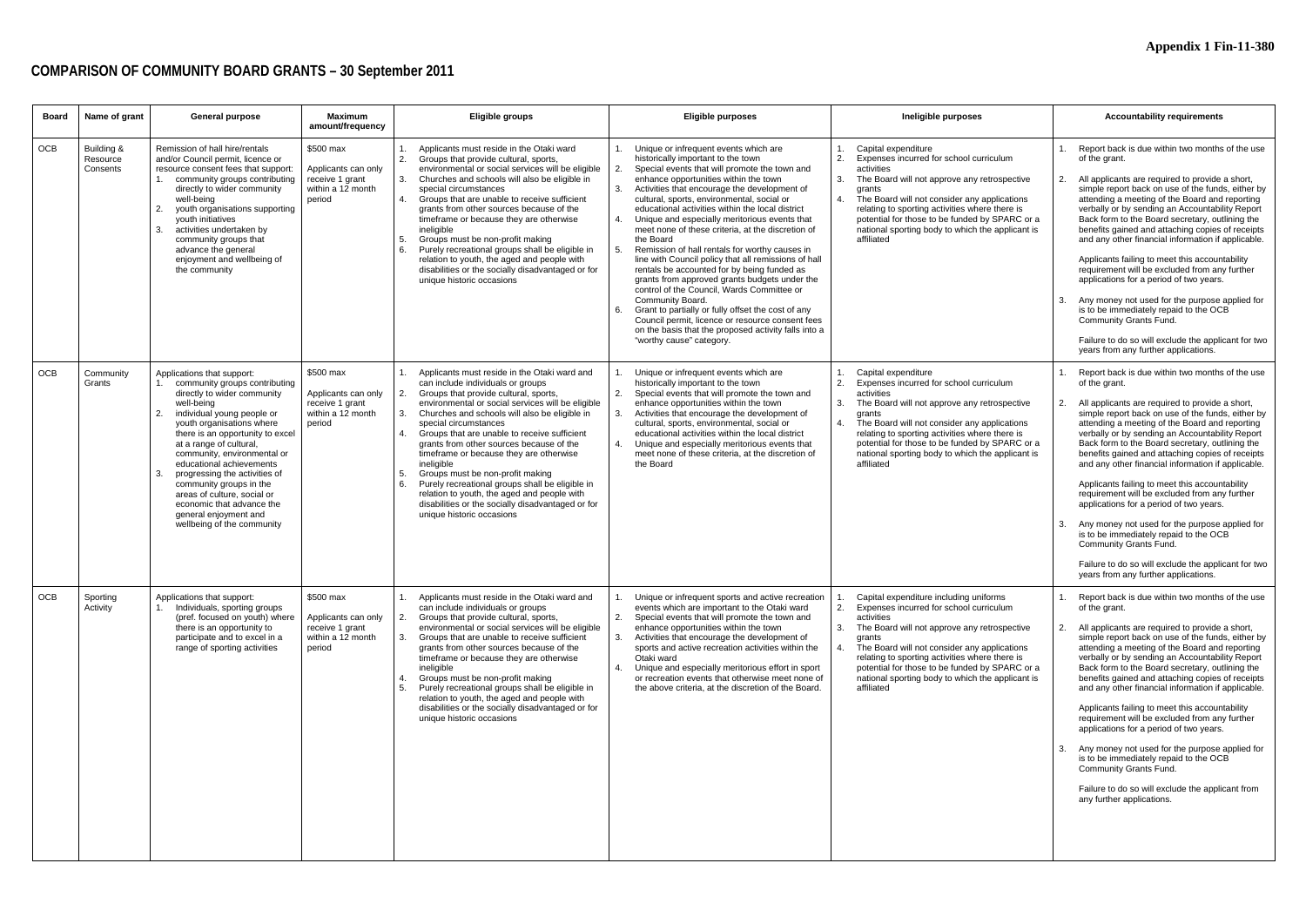# **COMPARISON OF COMMUNITY BOARD GRANTS – 30 September 2011**

| Board      | Name of grant                      | <b>General purpose</b>                                                                                                                                                                                                                                                                                                                                                                                                                                                                      | <b>Maximum</b><br>amount/frequency                                                 | <b>Eligible groups</b>                                                                                                                                                                                                                                                                                                                                                                                                                                                                                                                                                                                                                                   | <b>Eligible purposes</b>                                                                                                                                                                                                                                                                                                                                                                                                                                                                                                                                                                                                                                                                                                                                                                                                                                                                                                         | Ineligible purposes                                                                                                                                                                                                                                                                                                                                                                                   | <b>Accountability requirements</b>                                                                                                                                                                                                                                                                                                                                                                                                                                                                                                                                                                                                                                                                                                                                                                                  |
|------------|------------------------------------|---------------------------------------------------------------------------------------------------------------------------------------------------------------------------------------------------------------------------------------------------------------------------------------------------------------------------------------------------------------------------------------------------------------------------------------------------------------------------------------------|------------------------------------------------------------------------------------|----------------------------------------------------------------------------------------------------------------------------------------------------------------------------------------------------------------------------------------------------------------------------------------------------------------------------------------------------------------------------------------------------------------------------------------------------------------------------------------------------------------------------------------------------------------------------------------------------------------------------------------------------------|----------------------------------------------------------------------------------------------------------------------------------------------------------------------------------------------------------------------------------------------------------------------------------------------------------------------------------------------------------------------------------------------------------------------------------------------------------------------------------------------------------------------------------------------------------------------------------------------------------------------------------------------------------------------------------------------------------------------------------------------------------------------------------------------------------------------------------------------------------------------------------------------------------------------------------|-------------------------------------------------------------------------------------------------------------------------------------------------------------------------------------------------------------------------------------------------------------------------------------------------------------------------------------------------------------------------------------------------------|---------------------------------------------------------------------------------------------------------------------------------------------------------------------------------------------------------------------------------------------------------------------------------------------------------------------------------------------------------------------------------------------------------------------------------------------------------------------------------------------------------------------------------------------------------------------------------------------------------------------------------------------------------------------------------------------------------------------------------------------------------------------------------------------------------------------|
| <b>OCB</b> | Building &<br>Resource<br>Consents | Remission of hall hire/rentals<br>and/or Council permit, licence or<br>resource consent fees that support:<br>1. community groups contributing<br>directly to wider community<br>well-being<br>2.<br>youth organisations supporting<br>vouth initiatives<br>3.<br>activities undertaken by<br>community groups that<br>advance the general<br>enjoyment and wellbeing of<br>the community                                                                                                   | \$500 max<br>Applicants can only<br>receive 1 grant<br>within a 12 month<br>period | Applicants must reside in the Otaki ward<br>2.<br>Groups that provide cultural, sports,<br>environmental or social services will be eligible<br>Churches and schools will also be eligible in<br>3.<br>special circumstances<br>Groups that are unable to receive sufficient<br>4.<br>grants from other sources because of the<br>timeframe or because they are otherwise<br>ineligible<br>Groups must be non-profit making<br>Purely recreational groups shall be eligible in<br>6.<br>relation to youth, the aged and people with<br>disabilities or the socially disadvantaged or for<br>unique historic occasions                                    | Unique or infrequent events which are<br>historically important to the town<br>Special events that will promote the town and<br>enhance opportunities within the town<br>Activities that encourage the development of<br>cultural, sports, environmental, social or<br>educational activities within the local district<br>Unique and especially meritorious events that<br>meet none of these criteria, at the discretion of<br>the Board<br>Remission of hall rentals for worthy causes in<br>5.<br>line with Council policy that all remissions of hall<br>rentals be accounted for by being funded as<br>grants from approved grants budgets under the<br>control of the Council. Wards Committee or<br>Community Board.<br>Grant to partially or fully offset the cost of any<br>6.<br>Council permit, licence or resource consent fees<br>on the basis that the proposed activity falls into a<br>"worthy cause" category. | Capital expenditure<br>$\mathcal{P}$<br>Expenses incurred for school curriculum<br>activities<br>3.<br>The Board will not approve any retrospective<br>grants<br>The Board will not consider any applications<br>$\overline{4}$<br>relating to sporting activities where there is<br>potential for those to be funded by SPARC or a<br>national sporting body to which the applicant is<br>affiliated | Report back is due within two months of the use<br>of the grant.<br>All applicants are required to provide a short,<br>2.<br>simple report back on use of the funds, either by<br>attending a meeting of the Board and reporting<br>verbally or by sending an Accountability Report<br>Back form to the Board secretary, outlining the<br>benefits gained and attaching copies of receipts<br>and any other financial information if applicable.<br>Applicants failing to meet this accountability<br>requirement will be excluded from any further<br>applications for a period of two years.<br>Any money not used for the purpose applied for<br>is to be immediately repaid to the OCB<br>Community Grants Fund.<br>Failure to do so will exclude the applicant for two<br>years from any further applications. |
| <b>OCB</b> | Community<br>Grants                | Applications that support:<br>1. community groups contributing<br>directly to wider community<br>well-being<br>2.<br>individual young people or<br>youth organisations where<br>there is an opportunity to excel<br>at a range of cultural,<br>community, environmental or<br>educational achievements<br>3.<br>progressing the activities of<br>community groups in the<br>areas of culture, social or<br>economic that advance the<br>general enjoyment and<br>wellbeing of the community | \$500 max<br>Applicants can only<br>receive 1 grant<br>within a 12 month<br>period | Applicants must reside in the Otaki ward and<br>can include individuals or groups<br>Groups that provide cultural, sports,<br>2.<br>environmental or social services will be eligible<br>Churches and schools will also be eligible in<br>special circumstances<br>Groups that are unable to receive sufficient<br>grants from other sources because of the<br>timeframe or because they are otherwise<br>ineligible<br>Groups must be non-profit making<br>5.<br>Purely recreational groups shall be eligible in<br>6.<br>relation to youth, the aged and people with<br>disabilities or the socially disadvantaged or for<br>unique historic occasions | Unique or infrequent events which are<br>historically important to the town<br>Special events that will promote the town and<br>enhance opportunities within the town<br>Activities that encourage the development of<br>3.<br>cultural, sports, environmental, social or<br>educational activities within the local district<br>Unique and especially meritorious events that<br>meet none of these criteria, at the discretion of<br>the Board                                                                                                                                                                                                                                                                                                                                                                                                                                                                                 | Capital expenditure<br>2.<br>Expenses incurred for school curriculum<br>activities<br>3.<br>The Board will not approve any retrospective<br>grants<br>The Board will not consider any applications<br>$\overline{4}$<br>relating to sporting activities where there is<br>potential for those to be funded by SPARC or a<br>national sporting body to which the applicant is<br>affiliated            | Report back is due within two months of the use<br>of the grant.<br>All applicants are required to provide a short,<br>2.<br>simple report back on use of the funds, either by<br>attending a meeting of the Board and reporting<br>verbally or by sending an Accountability Report<br>Back form to the Board secretary, outlining the<br>benefits gained and attaching copies of receipts<br>and any other financial information if applicable.<br>Applicants failing to meet this accountability<br>requirement will be excluded from any further<br>applications for a period of two years.<br>Any money not used for the purpose applied for<br>is to be immediately repaid to the OCB<br>Community Grants Fund.<br>Failure to do so will exclude the applicant for two<br>years from any further applications. |
| OCB        | Sporting<br>Activity               | Applications that support:<br>Individuals, sporting groups<br>(pref. focused on youth) where<br>there is an opportunity to<br>participate and to excel in a<br>range of sporting activities                                                                                                                                                                                                                                                                                                 | \$500 max<br>Applicants can only<br>receive 1 grant<br>within a 12 month<br>period | Applicants must reside in the Otaki ward and<br>can include individuals or groups<br>Groups that provide cultural, sports,<br>2.<br>environmental or social services will be eligible<br>Groups that are unable to receive sufficient<br>3.<br>grants from other sources because of the<br>timeframe or because they are otherwise<br>ineligible<br>Groups must be non-profit making<br>Purely recreational groups shall be eligible in<br>5.<br>relation to youth, the aged and people with<br>disabilities or the socially disadvantaged or for<br>unique historic occasions                                                                           | Unique or infrequent sports and active recreation<br>events which are important to the Otaki ward<br>2.<br>Special events that will promote the town and<br>enhance opportunities within the town<br>Activities that encourage the development of<br>sports and active recreation activities within the<br>Otaki ward<br>Unique and especially meritorious effort in sport<br>4.<br>or recreation events that otherwise meet none of<br>the above criteria, at the discretion of the Board.                                                                                                                                                                                                                                                                                                                                                                                                                                      | Capital expenditure including uniforms<br>2.<br>Expenses incurred for school curriculum<br>activities<br>3.<br>The Board will not approve any retrospective<br>grants<br>The Board will not consider any applications<br>relating to sporting activities where there is<br>potential for those to be funded by SPARC or a<br>national sporting body to which the applicant is<br>affiliated           | Report back is due within two months of the use<br>of the grant.<br>2. All applicants are required to provide a short,<br>simple report back on use of the funds, either by<br>attending a meeting of the Board and reporting<br>verbally or by sending an Accountability Report<br>Back form to the Board secretary, outlining the<br>benefits gained and attaching copies of receipts<br>and any other financial information if applicable.<br>Applicants failing to meet this accountability<br>requirement will be excluded from any further<br>applications for a period of two years.<br>Any money not used for the purpose applied for<br>3.<br>is to be immediately repaid to the OCB<br>Community Grants Fund.<br>Failure to do so will exclude the applicant from<br>any further applications.            |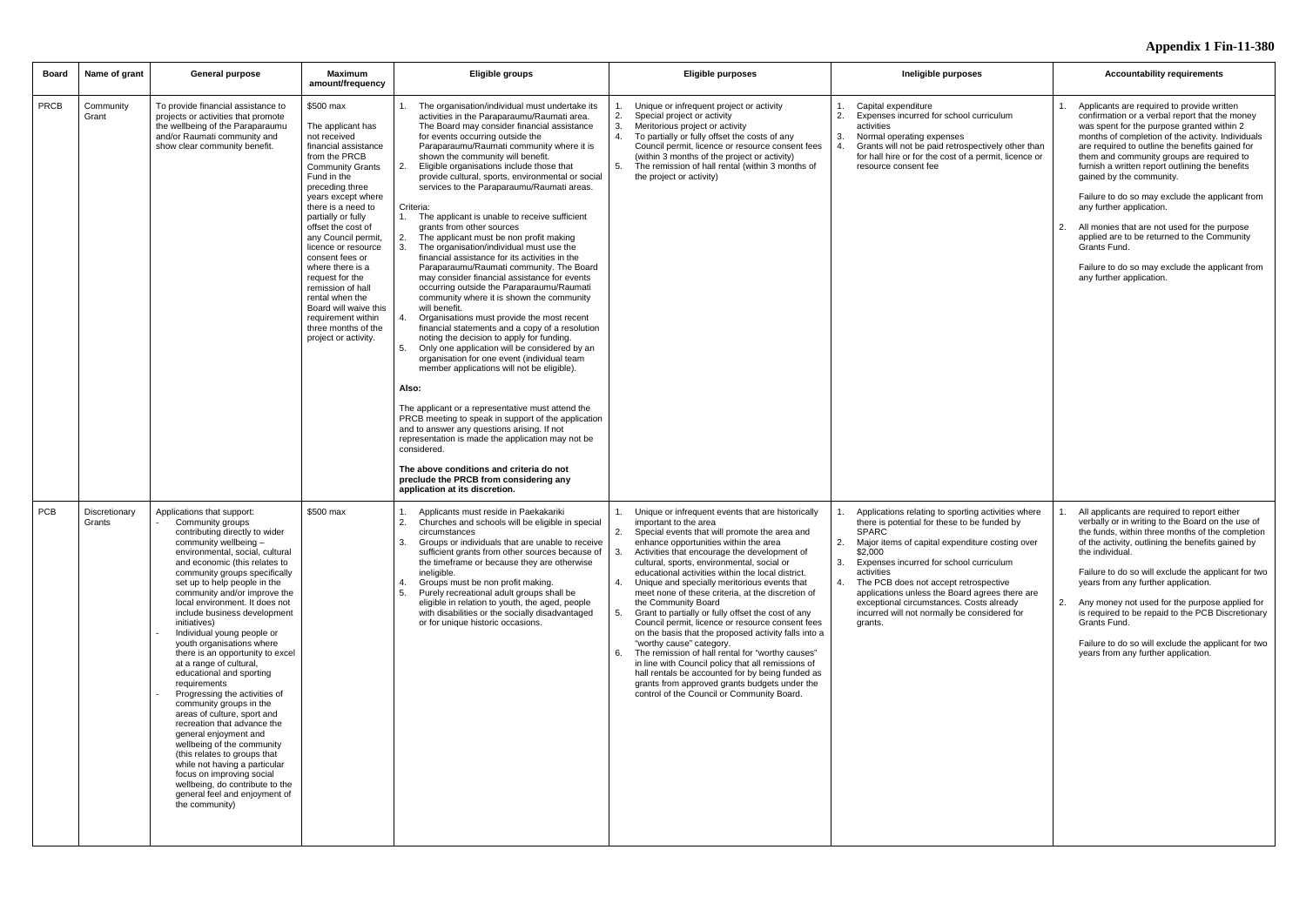| Board       | Name of grant           | <b>General purpose</b>                                                                                                                                                                                                                                                                                                                                                                                                                                                                                                                                                                                                                                                                                                                                                                                                                                                                                      | Maximum<br>amount/frequency                                                                                                                                                                                                                                                                                                                                                                                                                                                                | Eligible groups                                                                                                                                                                                                                                                                                                                                                                                                                                                                                                                                                                                                                                                                                                                                                                                                                                                                                                                                                                                                                                                                                                                                                                                                                                                                                                                                                                                                                                                                                                                                               | <b>Eligible purposes</b>                                                                                                                                                                                                                                                                                                                                                                                                                                                                                                                                                                                                                                                                                                                                                                                                                                                                                                         | Ineligible purposes                                                                                                                                                                                                                                                                                                                                                                                                                                     | <b>Accountability requirements</b>                                                                                                                                                                                                                                                                                                                                                                                                                                                                                                                                                                                                                             |
|-------------|-------------------------|-------------------------------------------------------------------------------------------------------------------------------------------------------------------------------------------------------------------------------------------------------------------------------------------------------------------------------------------------------------------------------------------------------------------------------------------------------------------------------------------------------------------------------------------------------------------------------------------------------------------------------------------------------------------------------------------------------------------------------------------------------------------------------------------------------------------------------------------------------------------------------------------------------------|--------------------------------------------------------------------------------------------------------------------------------------------------------------------------------------------------------------------------------------------------------------------------------------------------------------------------------------------------------------------------------------------------------------------------------------------------------------------------------------------|---------------------------------------------------------------------------------------------------------------------------------------------------------------------------------------------------------------------------------------------------------------------------------------------------------------------------------------------------------------------------------------------------------------------------------------------------------------------------------------------------------------------------------------------------------------------------------------------------------------------------------------------------------------------------------------------------------------------------------------------------------------------------------------------------------------------------------------------------------------------------------------------------------------------------------------------------------------------------------------------------------------------------------------------------------------------------------------------------------------------------------------------------------------------------------------------------------------------------------------------------------------------------------------------------------------------------------------------------------------------------------------------------------------------------------------------------------------------------------------------------------------------------------------------------------------|----------------------------------------------------------------------------------------------------------------------------------------------------------------------------------------------------------------------------------------------------------------------------------------------------------------------------------------------------------------------------------------------------------------------------------------------------------------------------------------------------------------------------------------------------------------------------------------------------------------------------------------------------------------------------------------------------------------------------------------------------------------------------------------------------------------------------------------------------------------------------------------------------------------------------------|---------------------------------------------------------------------------------------------------------------------------------------------------------------------------------------------------------------------------------------------------------------------------------------------------------------------------------------------------------------------------------------------------------------------------------------------------------|----------------------------------------------------------------------------------------------------------------------------------------------------------------------------------------------------------------------------------------------------------------------------------------------------------------------------------------------------------------------------------------------------------------------------------------------------------------------------------------------------------------------------------------------------------------------------------------------------------------------------------------------------------------|
| <b>PRCB</b> | Community<br>Grant      | To provide financial assistance to<br>projects or activities that promote<br>the wellbeing of the Paraparaumu<br>and/or Raumati community and<br>show clear community benefit.                                                                                                                                                                                                                                                                                                                                                                                                                                                                                                                                                                                                                                                                                                                              | \$500 max<br>The applicant has<br>not received<br>financial assistance<br>from the PRCB<br><b>Community Grants</b><br>Fund in the<br>preceding three<br>years except where<br>there is a need to<br>partially or fully<br>offset the cost of<br>any Council permit.<br>licence or resource<br>consent fees or<br>where there is a<br>request for the<br>remission of hall<br>rental when the<br>Board will waive this<br>requirement within<br>three months of the<br>project or activity. | The organisation/individual must undertake its<br>activities in the Paraparaumu/Raumati area.<br>The Board may consider financial assistance<br>for events occurring outside the<br>Paraparaumu/Raumati community where it is<br>shown the community will benefit.<br>Eligible organisations include those that<br>2.<br>provide cultural, sports, environmental or social<br>services to the Paraparaumu/Raumati areas.<br>Criteria:<br>1.<br>The applicant is unable to receive sufficient<br>grants from other sources<br>2.<br>The applicant must be non profit making<br>The organisation/individual must use the<br>3.<br>financial assistance for its activities in the<br>Paraparaumu/Raumati community. The Board<br>may consider financial assistance for events<br>occurring outside the Paraparaumu/Raumati<br>community where it is shown the community<br>will benefit.<br>Organisations must provide the most recent<br>4.<br>financial statements and a copy of a resolution<br>noting the decision to apply for funding.<br>Only one application will be considered by an<br>5.<br>organisation for one event (individual team<br>member applications will not be eligible).<br>Also:<br>The applicant or a representative must attend the<br>PRCB meeting to speak in support of the application<br>and to answer any questions arising. If not<br>representation is made the application may not be<br>considered.<br>The above conditions and criteria do not<br>preclude the PRCB from considering any<br>application at its discretion. | Unique or infrequent project or activity<br>Special project or activity<br>2.<br>3.<br>Meritorious project or activity<br>$\overline{4}$<br>To partially or fully offset the costs of any<br>Council permit, licence or resource consent fees<br>(within 3 months of the project or activity)<br>The remission of hall rental (within 3 months of<br>the project or activity)                                                                                                                                                                                                                                                                                                                                                                                                                                                                                                                                                    | Capital expenditure<br>1.<br>2.<br>Expenses incurred for school curriculum<br>activities<br>3.<br>Normal operating expenses<br>Grants will not be paid retrospectively other than<br>for hall hire or for the cost of a permit, licence or<br>resource consent fee                                                                                                                                                                                      | 1. Applicants are required to provide written<br>confirmation or a verbal report that the money<br>was spent for the purpose granted within 2<br>months of completion of the activity. Individuals<br>are required to outline the benefits gained for<br>them and community groups are required to<br>furnish a written report outlining the benefits<br>gained by the community.<br>Failure to do so may exclude the applicant from<br>any further application.<br>All monies that are not used for the purpose<br>applied are to be returned to the Community<br>Grants Fund.<br>Failure to do so may exclude the applicant from<br>any further application. |
| <b>PCB</b>  | Discretionary<br>Grants | Applications that support:<br>Community groups<br>contributing directly to wider<br>community wellbeing -<br>environmental, social, cultural<br>and economic (this relates to<br>community groups specifically<br>set up to help people in the<br>community and/or improve the<br>local environment. It does not<br>include business development<br>initiatives)<br>Individual young people or<br>youth organisations where<br>there is an opportunity to excel<br>at a range of cultural,<br>educational and sporting<br>requirements<br>Progressing the activities of<br>community groups in the<br>areas of culture, sport and<br>recreation that advance the<br>general enjoyment and<br>wellbeing of the community<br>(this relates to groups that<br>while not having a particular<br>focus on improving social<br>wellbeing, do contribute to the<br>general feel and enjoyment of<br>the community) | \$500 max                                                                                                                                                                                                                                                                                                                                                                                                                                                                                  | Applicants must reside in Paekakariki<br>Churches and schools will be eligible in special<br>2.<br>circumstances<br>Groups or individuals that are unable to receive<br>sufficient grants from other sources because of<br>the timeframe or because they are otherwise<br>ineligible.<br>Groups must be non profit making.<br>4.<br>Purely recreational adult groups shall be<br>5.<br>eligible in relation to youth, the aged, people<br>with disabilities or the socially disadvantaged<br>or for unique historic occasions.                                                                                                                                                                                                                                                                                                                                                                                                                                                                                                                                                                                                                                                                                                                                                                                                                                                                                                                                                                                                                                | Unique or infrequent events that are historically<br>important to the area<br>2.<br>Special events that will promote the area and<br>enhance opportunities within the area<br>Activities that encourage the development of<br>cultural, sports, environmental, social or<br>educational activities within the local district.<br>Unique and specially meritorious events that<br>meet none of these criteria, at the discretion of<br>the Community Board<br>5.<br>Grant to partially or fully offset the cost of any<br>Council permit, licence or resource consent fees<br>on the basis that the proposed activity falls into a<br>"worthy cause" category.<br>The remission of hall rental for "worthy causes"<br>6.<br>in line with Council policy that all remissions of<br>hall rentals be accounted for by being funded as<br>grants from approved grants budgets under the<br>control of the Council or Community Board. | Applications relating to sporting activities where<br>there is potential for these to be funded by<br><b>SPARC</b><br>Major items of capital expenditure costing over<br>2.<br>\$2,000<br>3.<br>Expenses incurred for school curriculum<br>activities<br>The PCB does not accept retrospective<br>applications unless the Board agrees there are<br>exceptional circumstances. Costs already<br>incurred will not normally be considered for<br>grants. | All applicants are required to report either<br>verbally or in writing to the Board on the use of<br>the funds, within three months of the completion<br>of the activity, outlining the benefits gained by<br>the individual.<br>Failure to do so will exclude the applicant for two<br>years from any further application.<br>2. Any money not used for the purpose applied for<br>is required to be repaid to the PCB Discretionary<br>Grants Fund.<br>Failure to do so will exclude the applicant for two<br>years from any further application.                                                                                                            |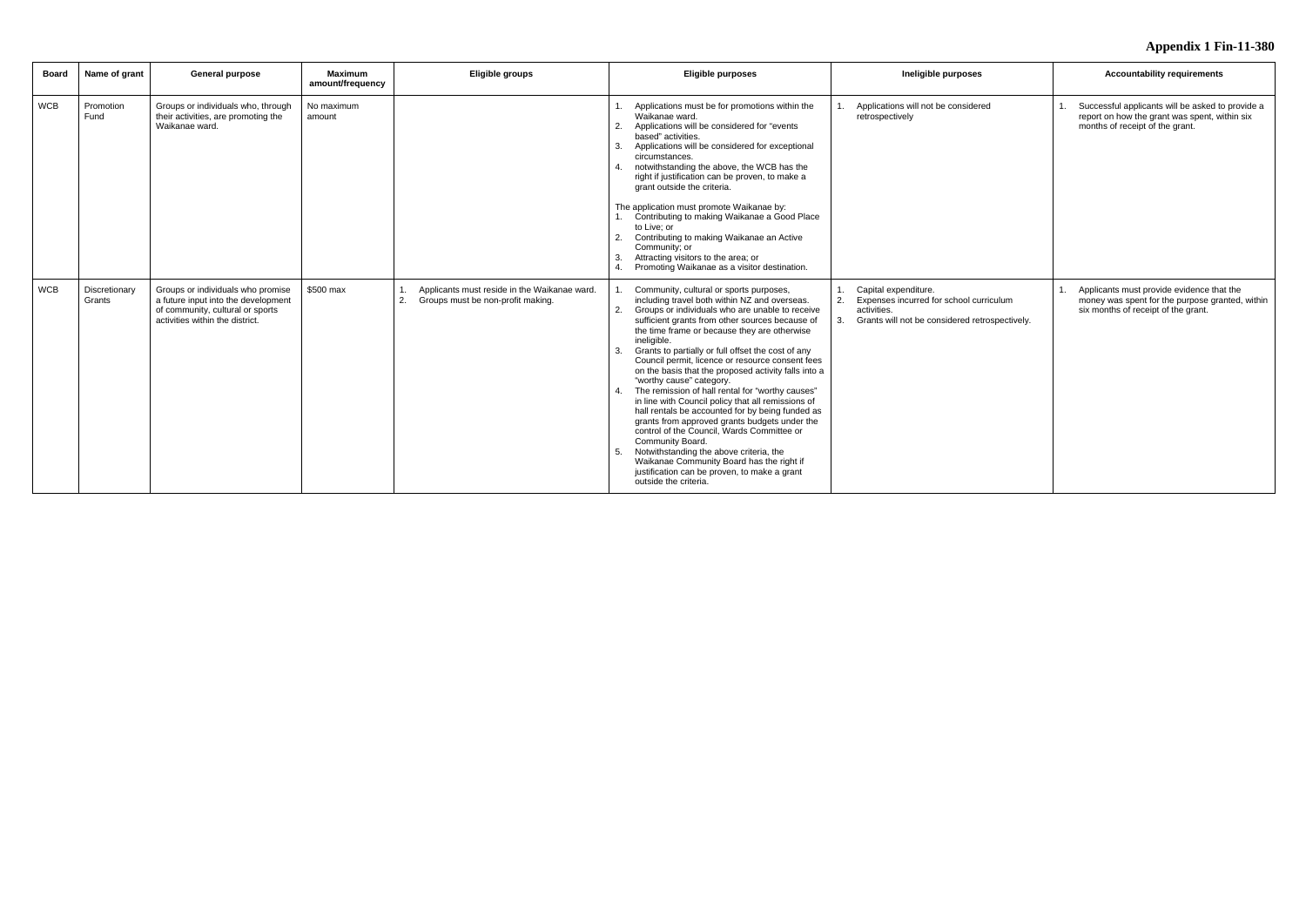| Board      | Name of grant           | <b>General purpose</b>                                                                                                                          | <b>Maximum</b><br>amount/frequency | Eligible groups                                                                         | <b>Eligible purposes</b>                                                                                                                                                                                                                                                                                                                                                                                                                                                                                                                                                                                                                                                                                                                                                                                                                                                                                                        | Ineligible purposes                                                                                                                    | <b>Accountability requirements</b>                                                                                                   |
|------------|-------------------------|-------------------------------------------------------------------------------------------------------------------------------------------------|------------------------------------|-----------------------------------------------------------------------------------------|---------------------------------------------------------------------------------------------------------------------------------------------------------------------------------------------------------------------------------------------------------------------------------------------------------------------------------------------------------------------------------------------------------------------------------------------------------------------------------------------------------------------------------------------------------------------------------------------------------------------------------------------------------------------------------------------------------------------------------------------------------------------------------------------------------------------------------------------------------------------------------------------------------------------------------|----------------------------------------------------------------------------------------------------------------------------------------|--------------------------------------------------------------------------------------------------------------------------------------|
| <b>WCB</b> | Promotion<br>Fund       | Groups or individuals who, through<br>their activities, are promoting the<br>Waikanae ward.                                                     | No maximum<br>amount               |                                                                                         | Applications must be for promotions within the<br>Waikanae ward.<br>Applications will be considered for "events<br>based" activities.<br>Applications will be considered for exceptional<br>circumstances.<br>notwithstanding the above, the WCB has the<br>4 <sup>1</sup><br>right if justification can be proven, to make a<br>grant outside the criteria.<br>The application must promote Waikanae by:<br>Contributing to making Waikanae a Good Place<br>to Live: or<br>Contributing to making Waikanae an Active<br>2.<br>Community; or<br>Attracting visitors to the area; or<br>Promoting Waikanae as a visitor destination.<br>4 <sup>1</sup>                                                                                                                                                                                                                                                                           | Applications will not be considered<br>retrospectively                                                                                 | Successful applicants will be asked to provide a<br>report on how the grant was spent, within six<br>months of receipt of the grant. |
| <b>WCB</b> | Discretionary<br>Grants | Groups or individuals who promise<br>a future input into the development<br>of community, cultural or sports<br>activities within the district. | \$500 max                          | Applicants must reside in the Waikanae ward.<br>2.<br>Groups must be non-profit making. | Community, cultural or sports purposes,<br>including travel both within NZ and overseas.<br>Groups or individuals who are unable to receive<br>sufficient grants from other sources because of<br>the time frame or because they are otherwise<br>ineligible.<br>Grants to partially or full offset the cost of any<br>Council permit, licence or resource consent fees<br>on the basis that the proposed activity falls into a<br>"worthy cause" category.<br>The remission of hall rental for "worthy causes"<br>4 <sup>1</sup><br>in line with Council policy that all remissions of<br>hall rentals be accounted for by being funded as<br>grants from approved grants budgets under the<br>control of the Council, Wards Committee or<br>Community Board.<br>Notwithstanding the above criteria, the<br>Waikanae Community Board has the right if<br>justification can be proven, to make a grant<br>outside the criteria. | Capital expenditure.<br>Expenses incurred for school curriculum<br>2.<br>activities.<br>Grants will not be considered retrospectively. | Applicants must provide evidence that the<br>money was spent for the purpose granted, within<br>six months of receipt of the grant.  |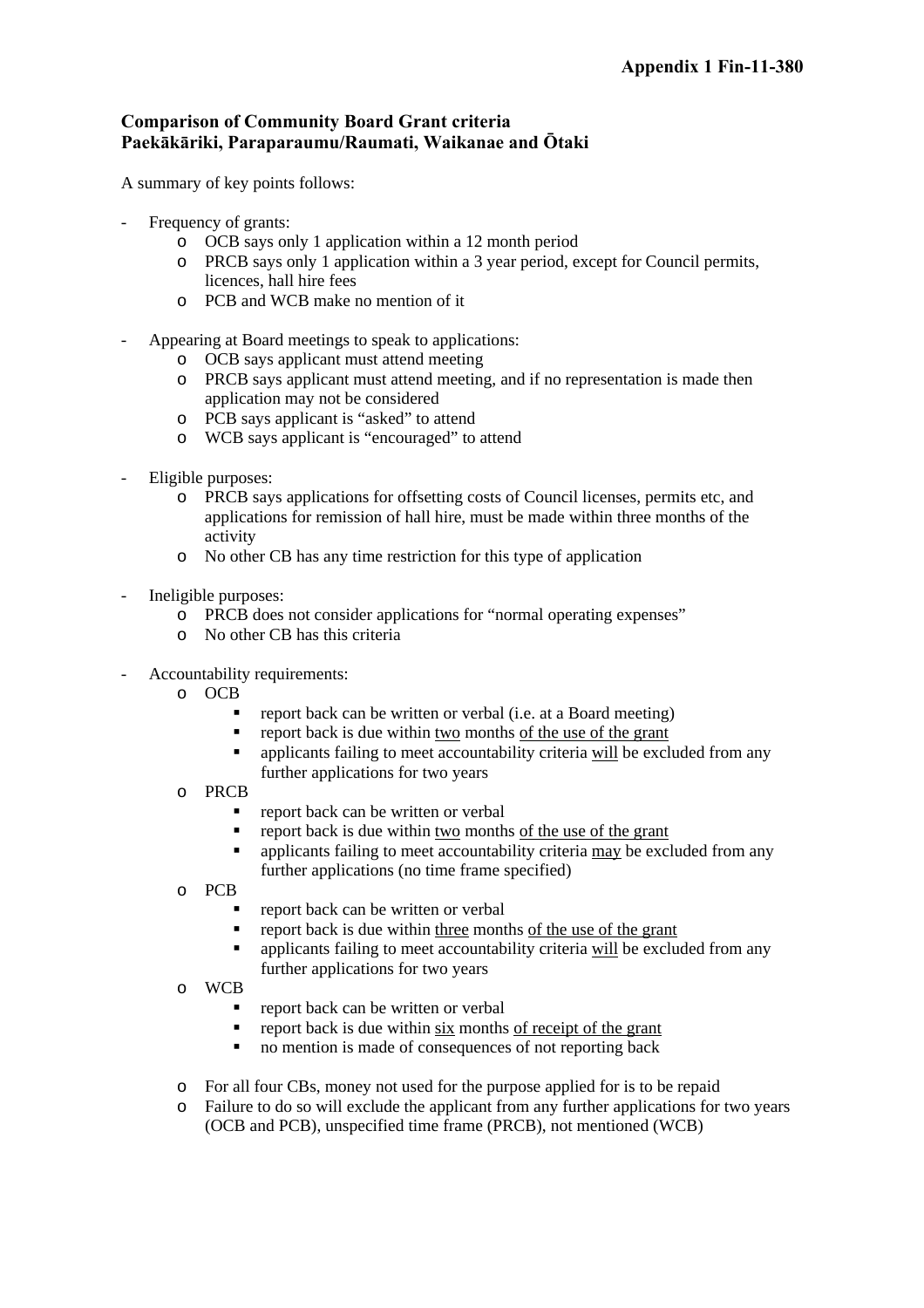# **Comparison of Community Board Grant criteria Paekākāriki, Paraparaumu/Raumati, Waikanae and Ōtaki**

A summary of key points follows:

- Frequency of grants:
	- o OCB says only 1 application within a 12 month period
	- o PRCB says only 1 application within a 3 year period, except for Council permits, licences, hall hire fees
	- o PCB and WCB make no mention of it
- Appearing at Board meetings to speak to applications:
	- o OCB says applicant must attend meeting
	- o PRCB says applicant must attend meeting, and if no representation is made then application may not be considered
	- o PCB says applicant is "asked" to attend
	- o WCB says applicant is "encouraged" to attend
- Eligible purposes:
	- o PRCB says applications for offsetting costs of Council licenses, permits etc, and applications for remission of hall hire, must be made within three months of the activity
	- o No other CB has any time restriction for this type of application
- Ineligible purposes:
	- o PRCB does not consider applications for "normal operating expenses"
	- o No other CB has this criteria
- Accountability requirements:
	- o OCB
		- report back can be written or verbal (i.e. at a Board meeting)
		- report back is due within two months of the use of the grant
		- applicants failing to meet accountability criteria will be excluded from any further applications for two years
	- o PRCB
		- report back can be written or verbal
		- report back is due within two months of the use of the grant
		- applicants failing to meet accountability criteria may be excluded from any further applications (no time frame specified)
	- o PCB
		- report back can be written or verbal
		- report back is due within three months of the use of the grant
		- applicants failing to meet accountability criteria will be excluded from any further applications for two years
	- o WCB
		- report back can be written or verbal
		- $\blacksquare$  report back is due within six months of receipt of the grant
		- no mention is made of consequences of not reporting back
	- o For all four CBs, money not used for the purpose applied for is to be repaid
	- Failure to do so will exclude the applicant from any further applications for two years (OCB and PCB), unspecified time frame (PRCB), not mentioned (WCB)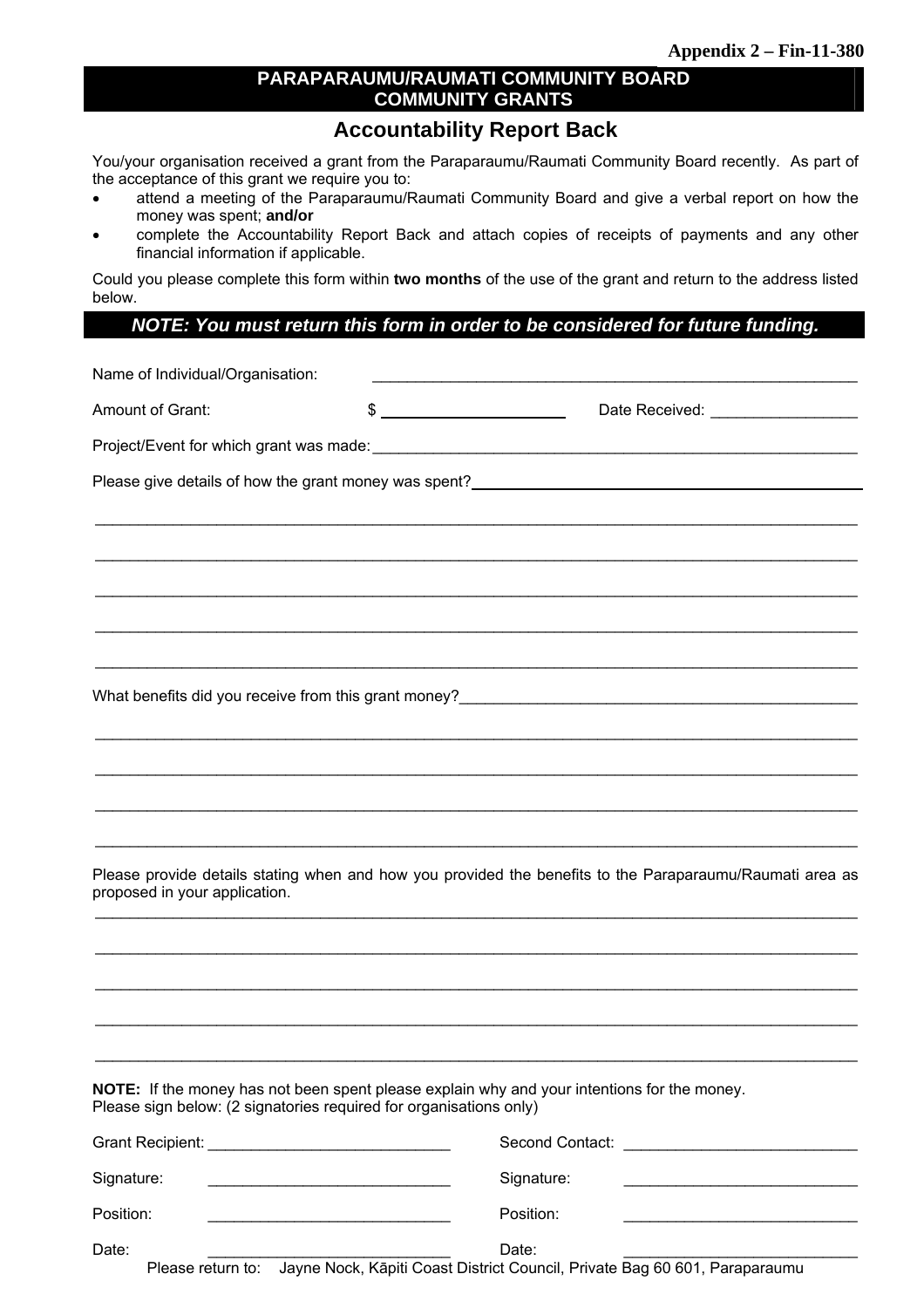# **PARAPARAUMU/RAUMATI COMMUNITY BOARD COMMUNITY GRANTS**

# **Accountability Report Back**

You/your organisation received a grant from the Paraparaumu/Raumati Community Board recently. As part of the acceptance of this grant we require you to:

- attend a meeting of the Paraparaumu/Raumati Community Board and give a verbal report on how the money was spent; **and/or**
- complete the Accountability Report Back and attach copies of receipts of payments and any other financial information if applicable.

Could you please complete this form within **two months** of the use of the grant and return to the address listed below.

# *NOTE: You must return this form in order to be considered for future funding.*

| Name of Individual/Organisation:                                   |                                                   | <u> 1980 - Johann John Barn, mars eta bainar eta bainar eta erromana eta baina eta baina eta baina eta baina eta</u> |  |  |  |  |  |  |  |
|--------------------------------------------------------------------|---------------------------------------------------|----------------------------------------------------------------------------------------------------------------------|--|--|--|--|--|--|--|
| Amount of Grant:                                                   |                                                   | $\frac{1}{2}$<br>Date Received: ___________________                                                                  |  |  |  |  |  |  |  |
|                                                                    |                                                   |                                                                                                                      |  |  |  |  |  |  |  |
|                                                                    |                                                   |                                                                                                                      |  |  |  |  |  |  |  |
|                                                                    |                                                   |                                                                                                                      |  |  |  |  |  |  |  |
|                                                                    |                                                   |                                                                                                                      |  |  |  |  |  |  |  |
|                                                                    |                                                   |                                                                                                                      |  |  |  |  |  |  |  |
|                                                                    |                                                   |                                                                                                                      |  |  |  |  |  |  |  |
|                                                                    |                                                   |                                                                                                                      |  |  |  |  |  |  |  |
|                                                                    |                                                   |                                                                                                                      |  |  |  |  |  |  |  |
|                                                                    |                                                   |                                                                                                                      |  |  |  |  |  |  |  |
|                                                                    |                                                   |                                                                                                                      |  |  |  |  |  |  |  |
|                                                                    |                                                   |                                                                                                                      |  |  |  |  |  |  |  |
|                                                                    |                                                   |                                                                                                                      |  |  |  |  |  |  |  |
|                                                                    |                                                   | Please provide details stating when and how you provided the benefits to the Paraparaumu/Raumati area as             |  |  |  |  |  |  |  |
| proposed in your application.                                      |                                                   |                                                                                                                      |  |  |  |  |  |  |  |
|                                                                    |                                                   |                                                                                                                      |  |  |  |  |  |  |  |
|                                                                    |                                                   |                                                                                                                      |  |  |  |  |  |  |  |
|                                                                    |                                                   |                                                                                                                      |  |  |  |  |  |  |  |
|                                                                    |                                                   |                                                                                                                      |  |  |  |  |  |  |  |
| Please sign below: (2 signatories required for organisations only) |                                                   | NOTE: If the money has not been spent please explain why and your intentions for the money.                          |  |  |  |  |  |  |  |
|                                                                    |                                                   |                                                                                                                      |  |  |  |  |  |  |  |
| Signature:                                                         | <u> 1980 - Johann Barbara, martxa alemaniar a</u> | Signature:                                                                                                           |  |  |  |  |  |  |  |
| Position:                                                          |                                                   | Position:                                                                                                            |  |  |  |  |  |  |  |
| Date:                                                              |                                                   | Date:                                                                                                                |  |  |  |  |  |  |  |

Please return to: Jayne Nock, Kāpiti Coast District Council, Private Bag 60 601, Paraparaumu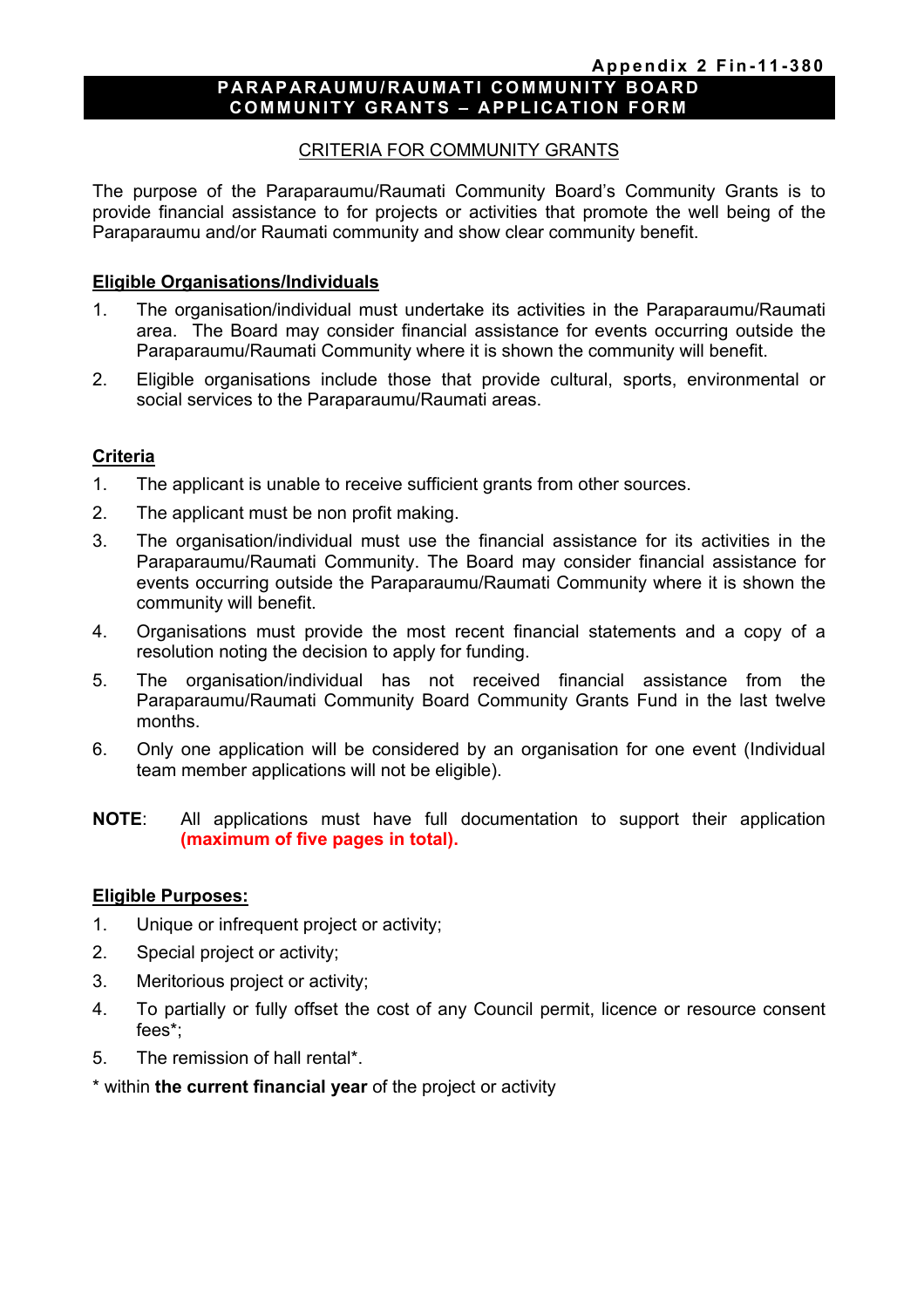#### **PARAPARAUMU/RAUMATI COMMUNITY BOARD COMMUNITY GRANTS – APPLICATION FORM**

#### CRITERIA FOR COMMUNITY GRANTS

The purpose of the Paraparaumu/Raumati Community Board's Community Grants is to provide financial assistance to for projects or activities that promote the well being of the Paraparaumu and/or Raumati community and show clear community benefit.

#### **Eligible Organisations/Individuals**

- 1. The organisation/individual must undertake its activities in the Paraparaumu/Raumati area. The Board may consider financial assistance for events occurring outside the Paraparaumu/Raumati Community where it is shown the community will benefit.
- 2. Eligible organisations include those that provide cultural, sports, environmental or social services to the Paraparaumu/Raumati areas.

#### **Criteria**

- 1. The applicant is unable to receive sufficient grants from other sources.
- 2. The applicant must be non profit making.
- 3. The organisation/individual must use the financial assistance for its activities in the Paraparaumu/Raumati Community. The Board may consider financial assistance for events occurring outside the Paraparaumu/Raumati Community where it is shown the community will benefit.
- 4. Organisations must provide the most recent financial statements and a copy of a resolution noting the decision to apply for funding.
- 5. The organisation/individual has not received financial assistance from the Paraparaumu/Raumati Community Board Community Grants Fund in the last twelve months.
- 6. Only one application will be considered by an organisation for one event (Individual team member applications will not be eligible).
- **NOTE**: All applications must have full documentation to support their application **(maximum of five pages in total).**

#### **Eligible Purposes:**

- 1. Unique or infrequent project or activity;
- 2. Special project or activity;
- 3. Meritorious project or activity;
- 4. To partially or fully offset the cost of any Council permit, licence or resource consent fees\*;
- 5. The remission of hall rental\*.

\* within **the current financial year** of the project or activity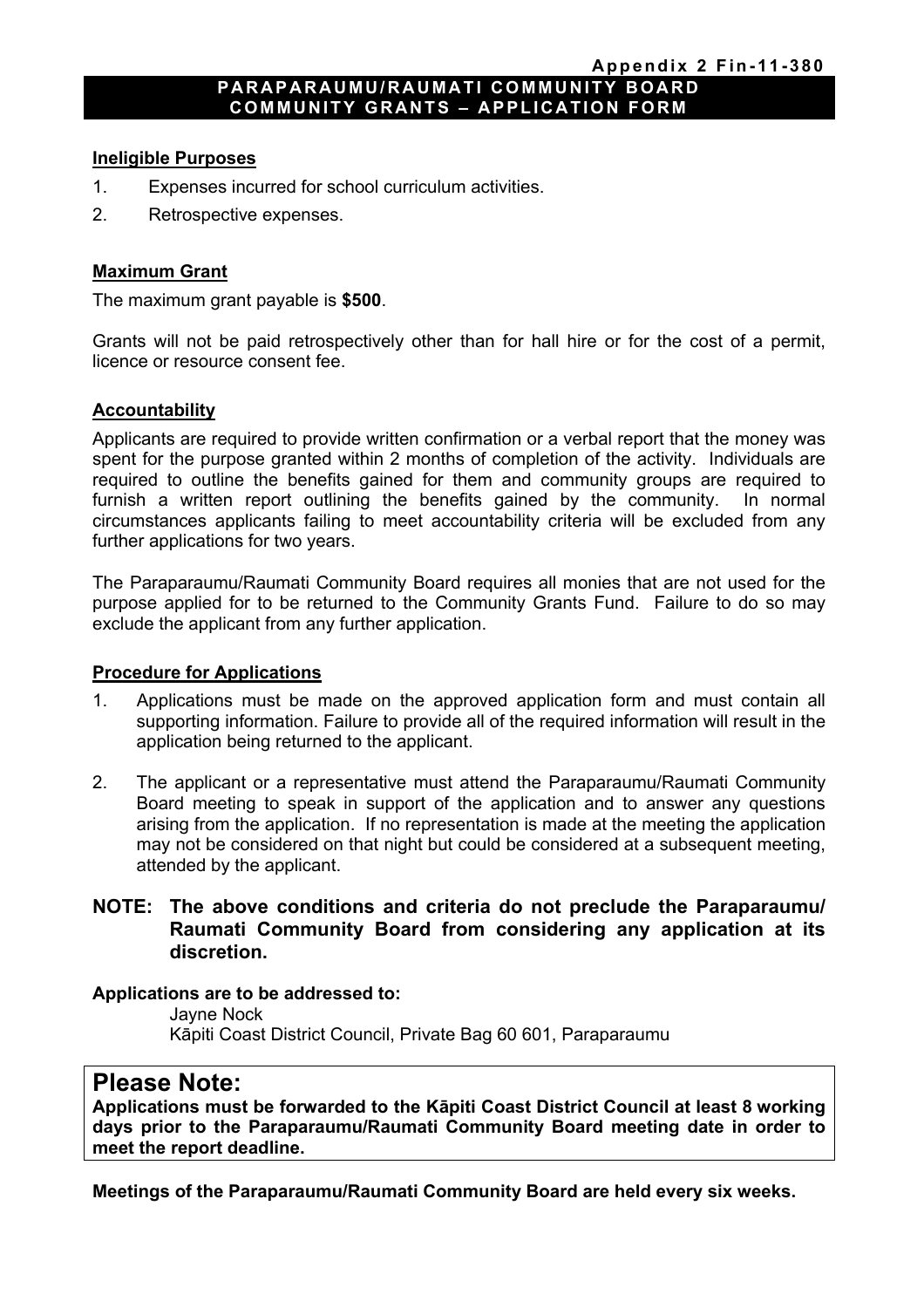#### **PARAPARAUMU/RAUMATI COMMUNITY BOARD COMMUNITY GRANTS – APPLICATION FORM**

#### **Ineligible Purposes**

- 1. Expenses incurred for school curriculum activities.
- 2. Retrospective expenses.

#### **Maximum Grant**

The maximum grant payable is **\$500**.

Grants will not be paid retrospectively other than for hall hire or for the cost of a permit, licence or resource consent fee.

#### **Accountability**

Applicants are required to provide written confirmation or a verbal report that the money was spent for the purpose granted within 2 months of completion of the activity. Individuals are required to outline the benefits gained for them and community groups are required to furnish a written report outlining the benefits gained by the community. In normal circumstances applicants failing to meet accountability criteria will be excluded from any further applications for two years.

The Paraparaumu/Raumati Community Board requires all monies that are not used for the purpose applied for to be returned to the Community Grants Fund. Failure to do so may exclude the applicant from any further application.

### **Procedure for Applications**

- 1. Applications must be made on the approved application form and must contain all supporting information. Failure to provide all of the required information will result in the application being returned to the applicant.
- 2. The applicant or a representative must attend the Paraparaumu/Raumati Community Board meeting to speak in support of the application and to answer any questions arising from the application. If no representation is made at the meeting the application may not be considered on that night but could be considered at a subsequent meeting. attended by the applicant.

# **NOTE: The above conditions and criteria do not preclude the Paraparaumu/ Raumati Community Board from considering any application at its discretion.**

#### **Applications are to be addressed to:**

 Jayne Nock Kāpiti Coast District Council, Private Bag 60 601, Paraparaumu

# **Please Note:**

**Applications must be forwarded to the Kāpiti Coast District Council at least 8 working days prior to the Paraparaumu/Raumati Community Board meeting date in order to meet the report deadline.** 

**Meetings of the Paraparaumu/Raumati Community Board are held every six weeks.**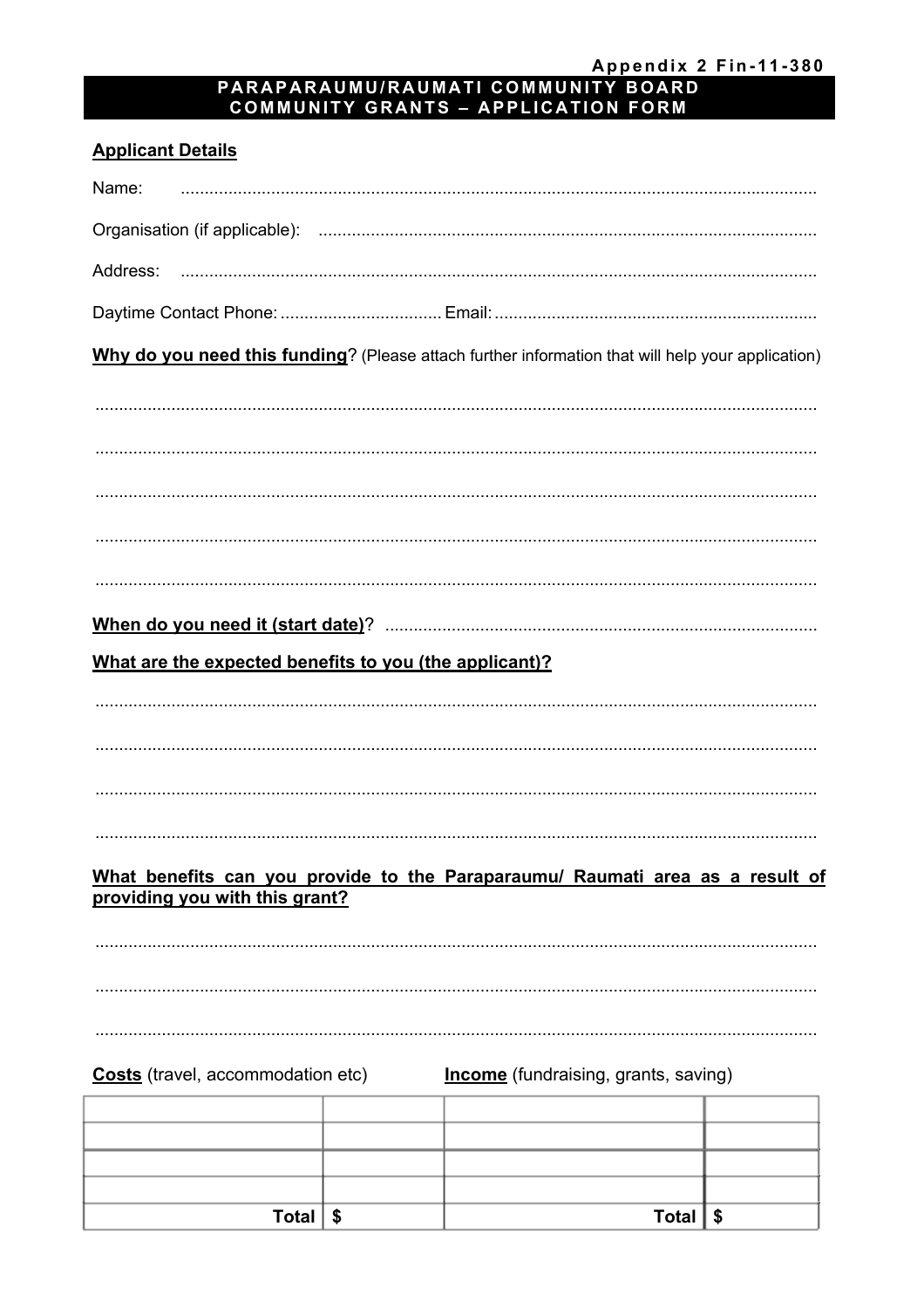Total  $\sqrt{s}$ 

# Appendix 2 Fin-11-380<br>PARAPARAUMU/RAUMATI COMMUNITY BOARD<br>COMMUNITY GRANTS – APPLICATION FORM

# **Applicant Details**

| Name:                                                                                             |                                             |  |
|---------------------------------------------------------------------------------------------------|---------------------------------------------|--|
|                                                                                                   |                                             |  |
|                                                                                                   |                                             |  |
|                                                                                                   |                                             |  |
| Why do you need this funding? (Please attach further information that will help your application) |                                             |  |
|                                                                                                   |                                             |  |
|                                                                                                   |                                             |  |
|                                                                                                   |                                             |  |
|                                                                                                   |                                             |  |
|                                                                                                   |                                             |  |
|                                                                                                   |                                             |  |
|                                                                                                   |                                             |  |
| What are the expected benefits to you (the applicant)?                                            |                                             |  |
|                                                                                                   |                                             |  |
|                                                                                                   |                                             |  |
|                                                                                                   |                                             |  |
|                                                                                                   |                                             |  |
| What benefits can you provide to the Paraparaumu/ Raumati area as a result of                     |                                             |  |
| providing you with this grant?                                                                    |                                             |  |
|                                                                                                   |                                             |  |
|                                                                                                   |                                             |  |
|                                                                                                   |                                             |  |
| <b>Costs</b> (travel, accommodation etc)                                                          | <b>Income</b> (fundraising, grants, saving) |  |
|                                                                                                   |                                             |  |
|                                                                                                   |                                             |  |
|                                                                                                   |                                             |  |

 $\overline{\text{Total}}$  \$